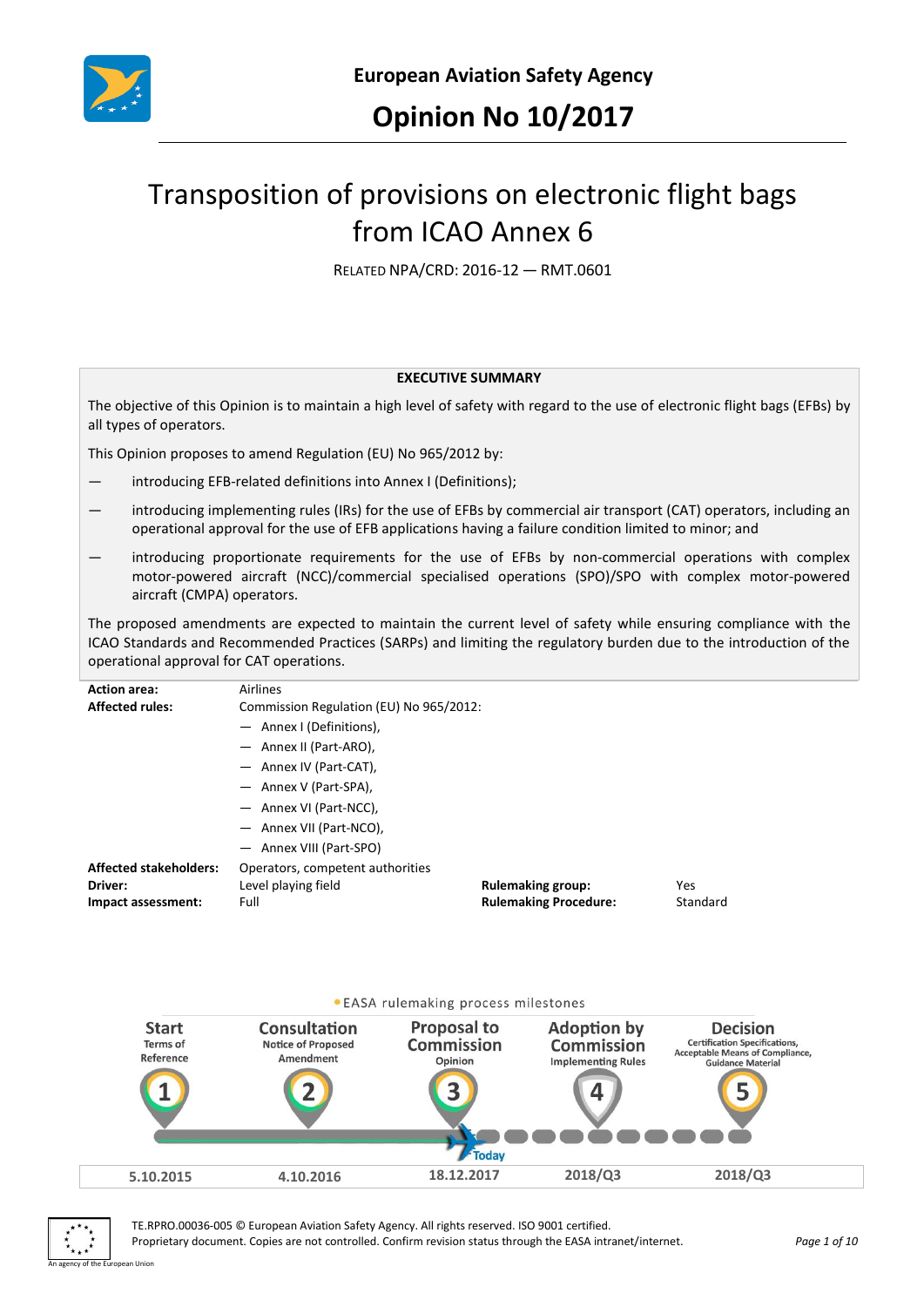

# Transposition of provisions on electronic flight bags from ICAO Annex 6

RELATED NPA/CRD: 2016-12 — RMT.0601

#### **EXECUTIVE SUMMARY**

The objective of this Opinion is to maintain a high level of safety with regard to the use of electronic flight bags (EFBs) by all types of operators.

This Opinion proposes to amend Regulation (EU) No 965/2012 by:

- introducing EFB-related definitions into Annex I (Definitions);
- introducing implementing rules (IRs) for the use of EFBs by commercial air transport (CAT) operators, including an operational approval for the use of EFB applications having a failure condition limited to minor; and
- introducing proportionate requirements for the use of EFBs by non-commercial operations with complex motor-powered aircraft (NCC)/commercial specialised operations (SPO)/SPO with complex motor-powered aircraft (CMPA) operators.

The proposed amendments are expected to maintain the current level of safety while ensuring compliance with the ICAO Standards and Recommended Practices (SARPs) and limiting the regulatory burden due to the introduction of the operational approval for CAT operations.

| <b>Action area:</b><br><b>Affected rules:</b> | Airlines<br>Commission Regulation (EU) No 965/2012: |                              |            |  |
|-----------------------------------------------|-----------------------------------------------------|------------------------------|------------|--|
|                                               | - Annex I (Definitions),                            |                              |            |  |
|                                               | - Annex II (Part-ARO),                              |                              |            |  |
|                                               | - Annex IV (Part-CAT),                              |                              |            |  |
|                                               | - Annex V (Part-SPA),                               |                              |            |  |
|                                               | - Annex VI (Part-NCC),                              |                              |            |  |
|                                               | - Annex VII (Part-NCO),                             |                              |            |  |
|                                               | - Annex VIII (Part-SPO)                             |                              |            |  |
| <b>Affected stakeholders:</b>                 | Operators, competent authorities                    |                              |            |  |
| Driver:                                       | Level playing field                                 | <b>Rulemaking group:</b>     | <b>Yes</b> |  |
| Impact assessment:                            | Full                                                | <b>Rulemaking Procedure:</b> | Standard   |  |
|                                               |                                                     |                              |            |  |





TE.RPRO.00036-005 © European Aviation Safety Agency. All rights reserved. ISO 9001 certified. Proprietary document. Copies are not controlled. Confirm revision status through the EASA intranet/internet. *Page 1 of 10*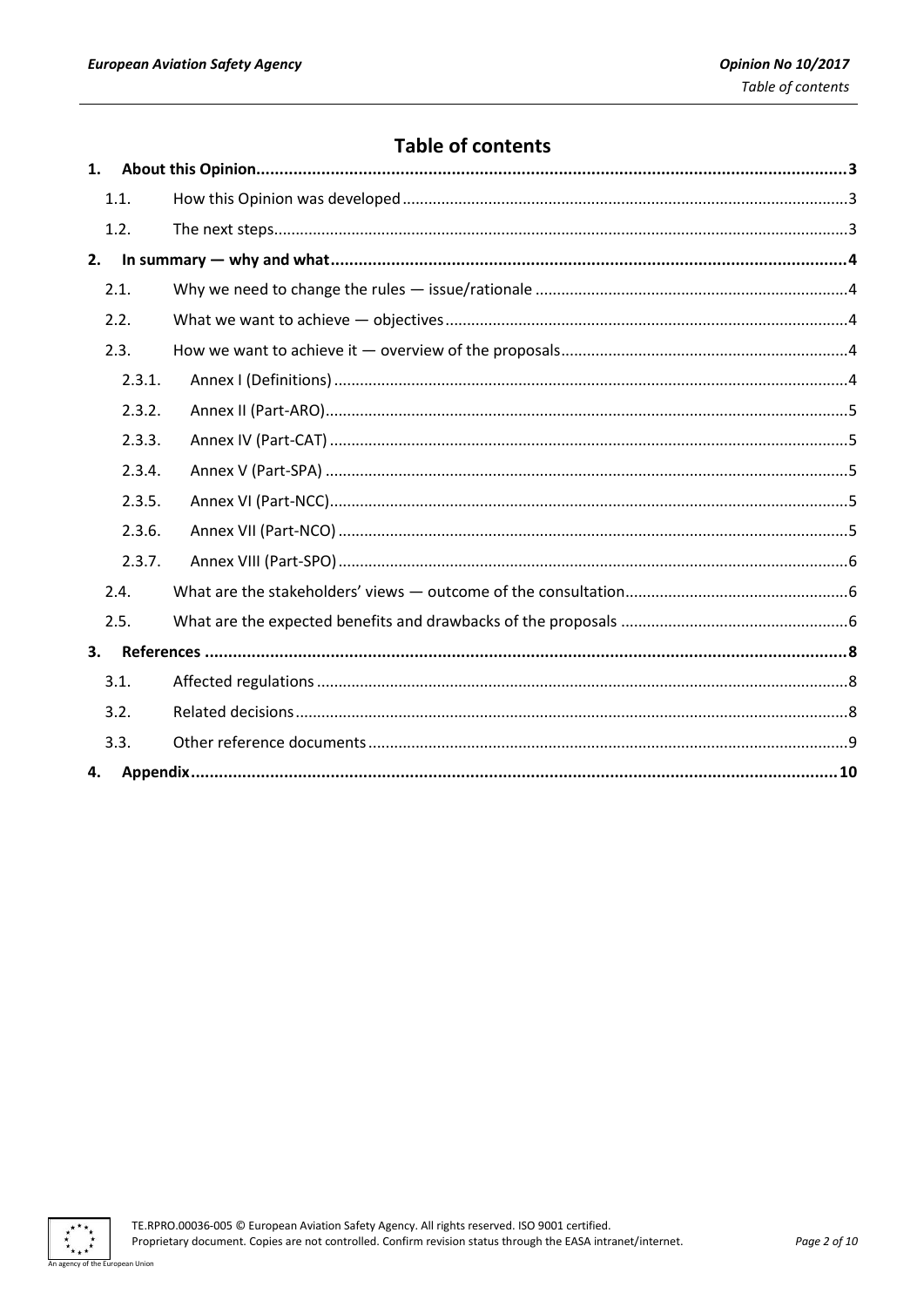# **Table of contents**

| 1. |        |  |  |
|----|--------|--|--|
|    | 1.1.   |  |  |
|    | 1.2.   |  |  |
| 2. |        |  |  |
|    | 2.1.   |  |  |
|    | 2.2.   |  |  |
|    | 2.3.   |  |  |
|    | 2.3.1. |  |  |
|    | 2.3.2. |  |  |
|    | 2.3.3. |  |  |
|    | 2.3.4. |  |  |
|    | 2.3.5. |  |  |
|    | 2.3.6. |  |  |
|    | 2.3.7. |  |  |
|    | 2.4.   |  |  |
|    | 2.5.   |  |  |
| 3. |        |  |  |
|    | 3.1.   |  |  |
|    | 3.2.   |  |  |
|    | 3.3.   |  |  |
| 4. |        |  |  |

 $\ddot{\ast}$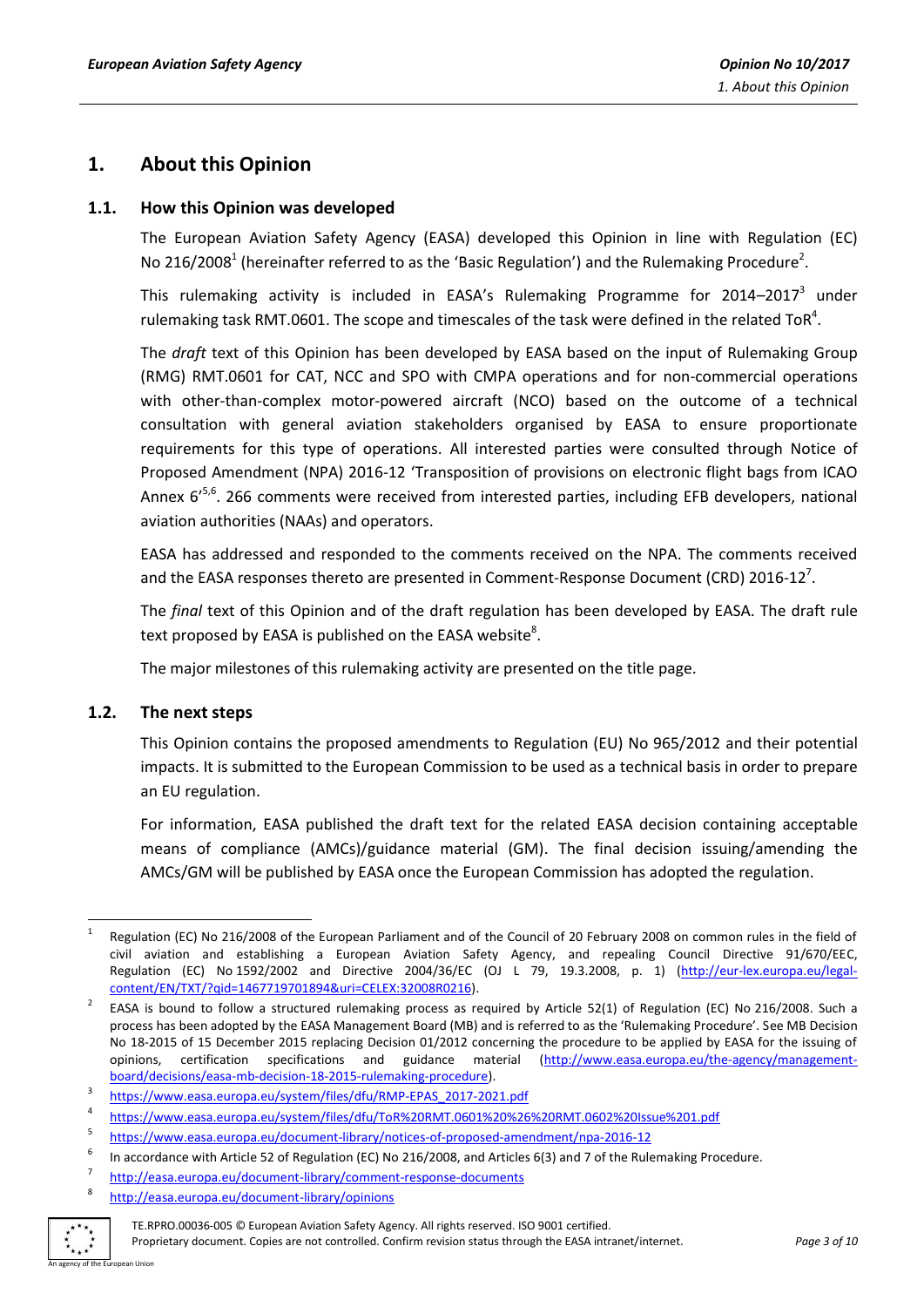# <span id="page-2-0"></span>**1. About this Opinion**

## <span id="page-2-1"></span>**1.1. How this Opinion was developed**

The European Aviation Safety Agency (EASA) developed this Opinion in line with Regulation (EC) No 216/2008<sup>1</sup> (hereinafter referred to as the 'Basic Regulation') and the Rulemaking Procedure<sup>2</sup>.

This rulemaking activity is included in EASA's Rulemaking Programme for 2014–2017<sup>3</sup> under rulemaking task RMT.0601. The scope and timescales of the task were defined in the related ToR<sup>4</sup>.

The *draft* text of this Opinion has been developed by EASA based on the input of Rulemaking Group (RMG) RMT.0601 for CAT, NCC and SPO with CMPA operations and for non-commercial operations with other-than-complex motor-powered aircraft (NCO) based on the outcome of a technical consultation with general aviation stakeholders organised by EASA to ensure proportionate requirements for this type of operations. All interested parties were consulted through Notice of Proposed Amendment (NPA) 2016-12 'Transposition of provisions on electronic flight bags from ICAO Annex 6<sup>'5,6</sup>. 266 comments were received from interested parties, including EFB developers, national aviation authorities (NAAs) and operators.

EASA has addressed and responded to the comments received on the NPA. The comments received and the EASA responses thereto are presented in Comment-Response Document (CRD) 2016-12<sup>7</sup>.

The *final* text of this Opinion and of the draft regulation has been developed by EASA. The draft rule text proposed by EASA is published on the EASA website $^8$ .

The major milestones of this rulemaking activity are presented on the title page.

## <span id="page-2-2"></span>**1.2. The next steps**

This Opinion contains the proposed amendments to Regulation (EU) No 965/2012 and their potential impacts. It is submitted to the European Commission to be used as a technical basis in order to prepare an EU regulation.

For information, EASA published the draft text for the related EASA decision containing acceptable means of compliance (AMCs)/guidance material (GM). The final decision issuing/amending the AMCs/GM will be published by EASA once the European Commission has adopted the regulation.

<sup>8</sup> <http://easa.europa.eu/document-library/opinions>



**.** 

Proprietary document. Copies are not controlled. Confirm revision status through the EASA intranet/internet. *Page 3 of 10* An agency of the European Union

<sup>1</sup> Regulation (EC) No 216/2008 of the European Parliament and of the Council of 20 February 2008 on common rules in the field of civil aviation and establishing a European Aviation Safety Agency, and repealing Council Directive 91/670/EEC, Regulation (EC) No 1592/2002 and Directive 2004/36/EC (OJ L 79, 19.3.2008, p. 1) [\(http://eur-lex.europa.eu/legal](http://eur-lex.europa.eu/legal-content/EN/TXT/?qid=1467719701894&uri=CELEX:32008R0216)[content/EN/TXT/?qid=1467719701894&uri=CELEX:32008R0216\)](http://eur-lex.europa.eu/legal-content/EN/TXT/?qid=1467719701894&uri=CELEX:32008R0216).

<sup>2</sup> EASA is bound to follow a structured rulemaking process as required by Article 52(1) of Regulation (EC) No 216/2008. Such a process has been adopted by the EASA Management Board (MB) and is referred to as the 'Rulemaking Procedure'. See MB Decision No 18-2015 of 15 December 2015 replacing Decision 01/2012 concerning the procedure to be applied by EASA for the issuing of opinions, certification specifications and guidance material [\(http://www.easa.europa.eu/the-agency/management](http://www.easa.europa.eu/the-agency/management-board/decisions/easa-mb-decision-18-2015-rulemaking-procedure)[board/decisions/easa-mb-decision-18-2015-rulemaking-procedure\)](http://www.easa.europa.eu/the-agency/management-board/decisions/easa-mb-decision-18-2015-rulemaking-procedure).

<sup>3</sup> [https://www.easa.europa.eu/system/files/dfu/RMP-EPAS\\_2017-2021.pdf](https://www.easa.europa.eu/system/files/dfu/RMP-EPAS_2017-2021.pdf)

<sup>4</sup> <https://www.easa.europa.eu/system/files/dfu/ToR%20RMT.0601%20%26%20RMT.0602%20Issue%201.pdf>

<sup>5</sup> <https://www.easa.europa.eu/document-library/notices-of-proposed-amendment/npa-2016-12>

<sup>6</sup> In accordance with Article 52 of Regulation (EC) No 216/2008, and Articles 6(3) and 7 of the Rulemaking Procedure.

<sup>7</sup> <http://easa.europa.eu/document-library/comment-response-documents>

TE.RPRO.00036-005 © European Aviation Safety Agency. All rights reserved. ISO 9001 certified.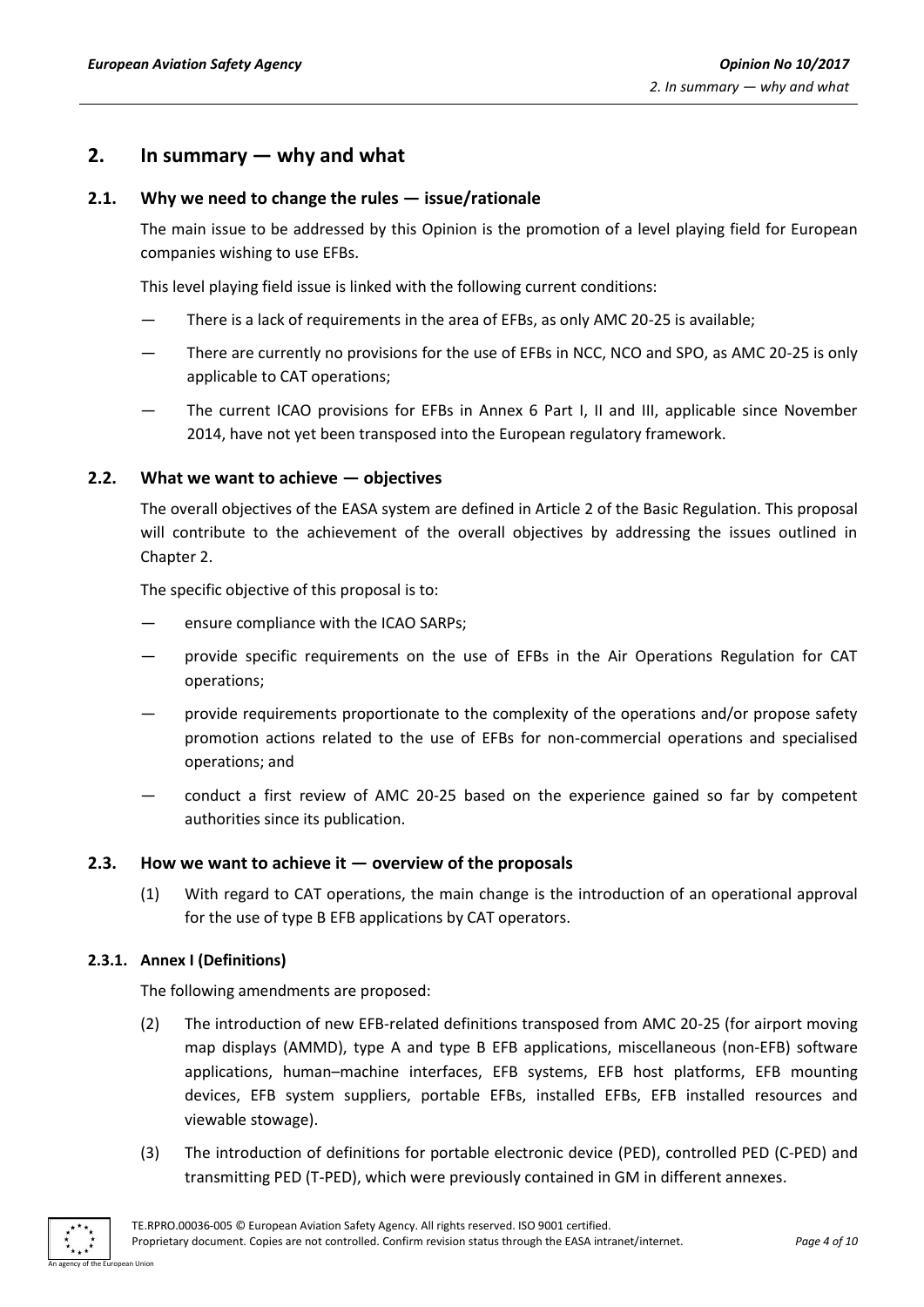# <span id="page-3-0"></span>**2. In summary — why and what**

## <span id="page-3-1"></span>**2.1. Why we need to change the rules — issue/rationale**

The main issue to be addressed by this Opinion is the promotion of a level playing field for European companies wishing to use EFBs.

This level playing field issue is linked with the following current conditions:

- There is a lack of requirements in the area of EFBs, as only AMC 20-25 is available;
- There are currently no provisions for the use of EFBs in NCC, NCO and SPO, as AMC 20-25 is only applicable to CAT operations;
- The current ICAO provisions for EFBs in Annex 6 Part I, II and III, applicable since November 2014, have not yet been transposed into the European regulatory framework.

## <span id="page-3-2"></span>**2.2. What we want to achieve — objectives**

The overall objectives of the EASA system are defined in Article 2 of the Basic Regulation. This proposal will contribute to the achievement of the overall objectives by addressing the issues outlined in Chapter 2.

The specific objective of this proposal is to:

- ensure compliance with the ICAO SARPs:
- provide specific requirements on the use of EFBs in the Air Operations Regulation for CAT operations;
- provide requirements proportionate to the complexity of the operations and/or propose safety promotion actions related to the use of EFBs for non-commercial operations and specialised operations; and
- conduct a first review of AMC 20-25 based on the experience gained so far by competent authorities since its publication.

## <span id="page-3-3"></span>**2.3. How we want to achieve it — overview of the proposals**

(1) With regard to CAT operations, the main change is the introduction of an operational approval for the use of type B EFB applications by CAT operators.

## <span id="page-3-4"></span>**2.3.1. Annex I (Definitions)**

The following amendments are proposed:

- (2) The introduction of new EFB-related definitions transposed from AMC 20-25 (for airport moving map displays (AMMD), type A and type B EFB applications, miscellaneous (non-EFB) software applications, human–machine interfaces, EFB systems, EFB host platforms, EFB mounting devices, EFB system suppliers, portable EFBs, installed EFBs, EFB installed resources and viewable stowage).
- (3) The introduction of definitions for portable electronic device (PED), controlled PED (C-PED) and transmitting PED (T-PED), which were previously contained in GM in different annexes.

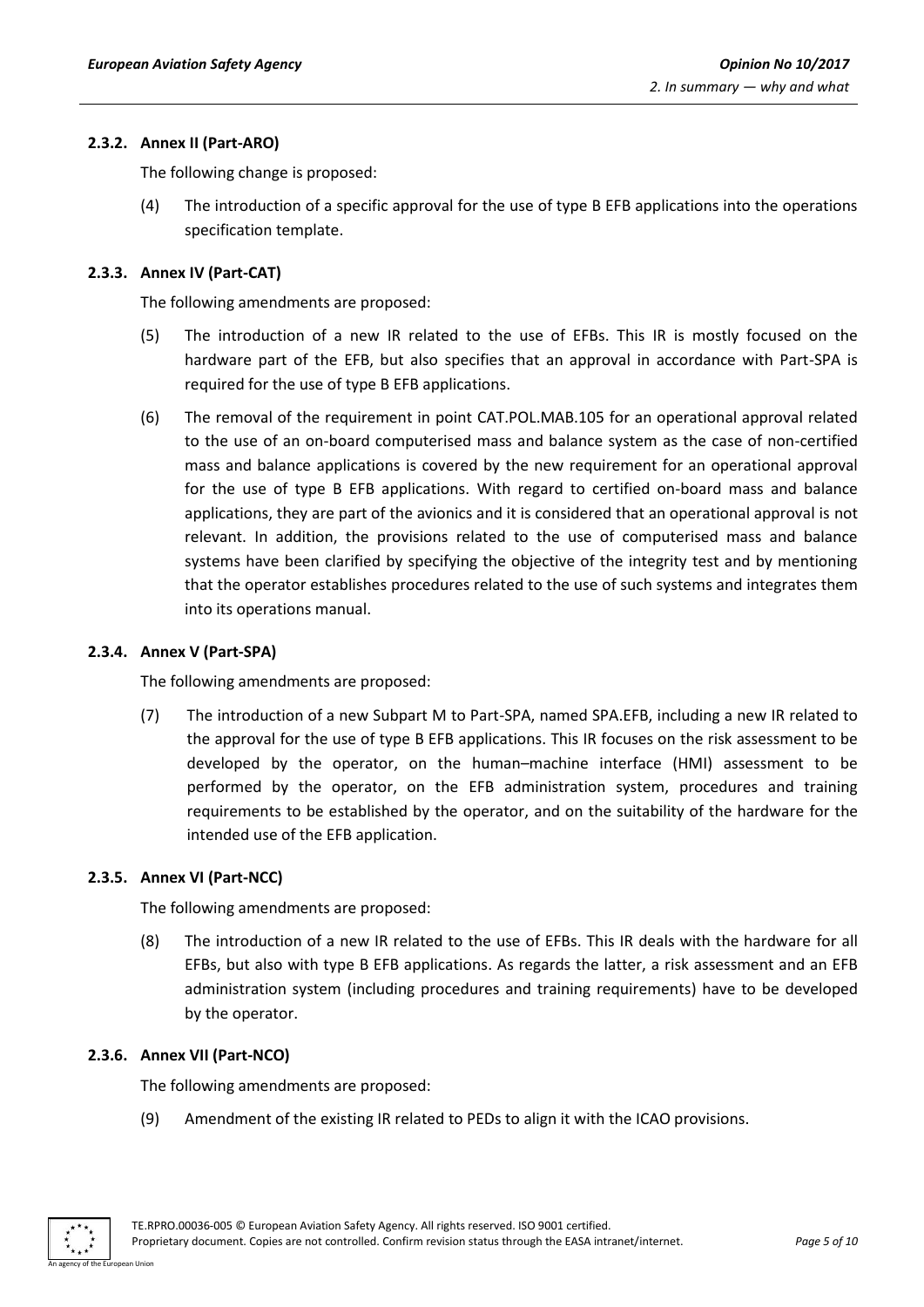#### <span id="page-4-0"></span>**2.3.2. Annex II (Part-ARO)**

The following change is proposed:

(4) The introduction of a specific approval for the use of type B EFB applications into the operations specification template.

## <span id="page-4-1"></span>**2.3.3. Annex IV (Part-CAT)**

The following amendments are proposed:

- (5) The introduction of a new IR related to the use of EFBs. This IR is mostly focused on the hardware part of the EFB, but also specifies that an approval in accordance with Part-SPA is required for the use of type B EFB applications.
- (6) The removal of the requirement in point CAT.POL.MAB.105 for an operational approval related to the use of an on-board computerised mass and balance system as the case of non-certified mass and balance applications is covered by the new requirement for an operational approval for the use of type B EFB applications. With regard to certified on-board mass and balance applications, they are part of the avionics and it is considered that an operational approval is not relevant. In addition, the provisions related to the use of computerised mass and balance systems have been clarified by specifying the objective of the integrity test and by mentioning that the operator establishes procedures related to the use of such systems and integrates them into its operations manual.

#### <span id="page-4-2"></span>**2.3.4. Annex V (Part-SPA)**

The following amendments are proposed:

(7) The introduction of a new Subpart M to Part-SPA, named SPA.EFB, including a new IR related to the approval for the use of type B EFB applications. This IR focuses on the risk assessment to be developed by the operator, on the human–machine interface (HMI) assessment to be performed by the operator, on the EFB administration system, procedures and training requirements to be established by the operator, and on the suitability of the hardware for the intended use of the EFB application.

#### <span id="page-4-3"></span>**2.3.5. Annex VI (Part-NCC)**

The following amendments are proposed:

(8) The introduction of a new IR related to the use of EFBs. This IR deals with the hardware for all EFBs, but also with type B EFB applications. As regards the latter, a risk assessment and an EFB administration system (including procedures and training requirements) have to be developed by the operator.

#### <span id="page-4-4"></span>**2.3.6. Annex VII (Part-NCO)**

The following amendments are proposed:

(9) Amendment of the existing IR related to PEDs to align it with the ICAO provisions.

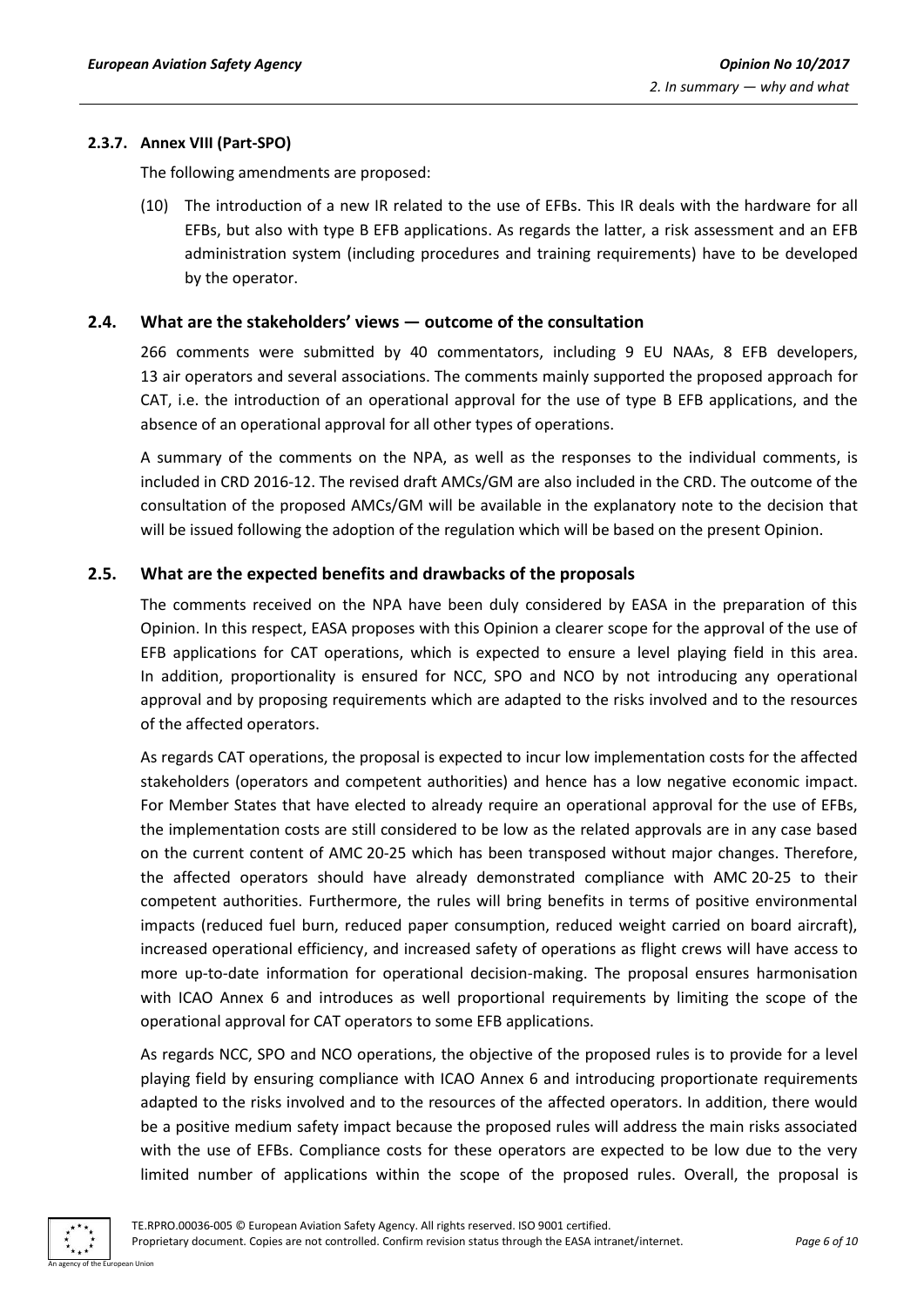#### <span id="page-5-0"></span>**2.3.7. Annex VIII (Part-SPO)**

The following amendments are proposed:

(10) The introduction of a new IR related to the use of EFBs. This IR deals with the hardware for all EFBs, but also with type B EFB applications. As regards the latter, a risk assessment and an EFB administration system (including procedures and training requirements) have to be developed by the operator.

## <span id="page-5-1"></span>**2.4. What are the stakeholders' views — outcome of the consultation**

266 comments were submitted by 40 commentators, including 9 EU NAAs, 8 EFB developers, 13 air operators and several associations. The comments mainly supported the proposed approach for CAT, i.e. the introduction of an operational approval for the use of type B EFB applications, and the absence of an operational approval for all other types of operations.

A summary of the comments on the NPA, as well as the responses to the individual comments, is included in CRD 2016-12. The revised draft AMCs/GM are also included in the CRD. The outcome of the consultation of the proposed AMCs/GM will be available in the explanatory note to the decision that will be issued following the adoption of the regulation which will be based on the present Opinion.

## <span id="page-5-2"></span>**2.5. What are the expected benefits and drawbacks of the proposals**

The comments received on the NPA have been duly considered by EASA in the preparation of this Opinion. In this respect, EASA proposes with this Opinion a clearer scope for the approval of the use of EFB applications for CAT operations, which is expected to ensure a level playing field in this area. In addition, proportionality is ensured for NCC, SPO and NCO by not introducing any operational approval and by proposing requirements which are adapted to the risks involved and to the resources of the affected operators.

As regards CAT operations, the proposal is expected to incur low implementation costs for the affected stakeholders (operators and competent authorities) and hence has a low negative economic impact. For Member States that have elected to already require an operational approval for the use of EFBs, the implementation costs are still considered to be low as the related approvals are in any case based on the current content of AMC 20-25 which has been transposed without major changes. Therefore, the affected operators should have already demonstrated compliance with AMC 20-25 to their competent authorities. Furthermore, the rules will bring benefits in terms of positive environmental impacts (reduced fuel burn, reduced paper consumption, reduced weight carried on board aircraft), increased operational efficiency, and increased safety of operations as flight crews will have access to more up-to-date information for operational decision-making. The proposal ensures harmonisation with ICAO Annex 6 and introduces as well proportional requirements by limiting the scope of the operational approval for CAT operators to some EFB applications.

As regards NCC, SPO and NCO operations, the objective of the proposed rules is to provide for a level playing field by ensuring compliance with ICAO Annex 6 and introducing proportionate requirements adapted to the risks involved and to the resources of the affected operators. In addition, there would be a positive medium safety impact because the proposed rules will address the main risks associated with the use of EFBs. Compliance costs for these operators are expected to be low due to the very limited number of applications within the scope of the proposed rules. Overall, the proposal is

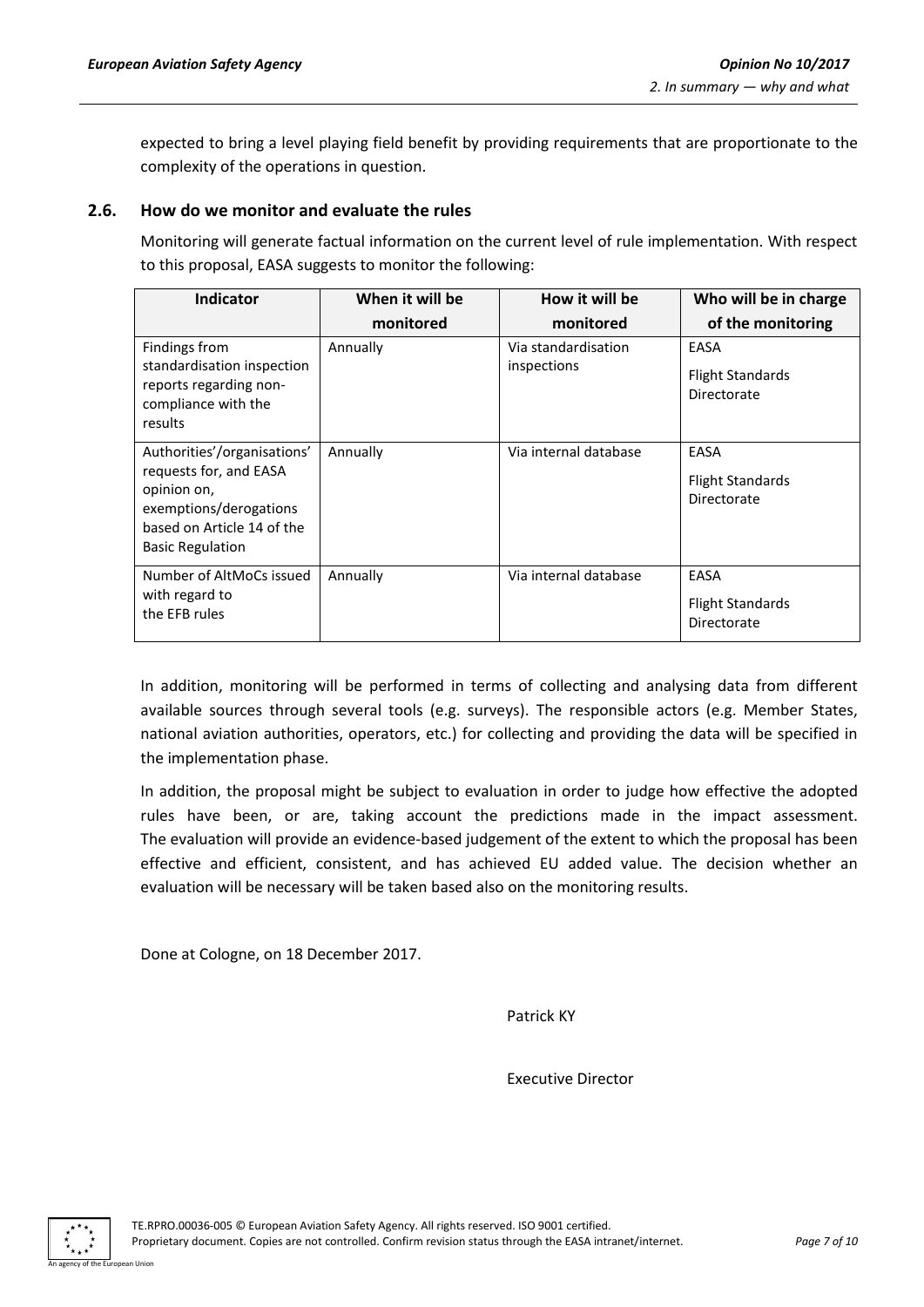expected to bring a level playing field benefit by providing requirements that are proportionate to the complexity of the operations in question.

#### **2.6. How do we monitor and evaluate the rules**

Monitoring will generate factual information on the current level of rule implementation. With respect to this proposal, EASA suggests to monitor the following:

| Indicator                                                                                                                                               | When it will be | How it will be                     | Who will be in charge                          |
|---------------------------------------------------------------------------------------------------------------------------------------------------------|-----------------|------------------------------------|------------------------------------------------|
|                                                                                                                                                         | monitored       | monitored                          | of the monitoring                              |
| Findings from<br>standardisation inspection<br>reports regarding non-<br>compliance with the<br>results                                                 | Annually        | Via standardisation<br>inspections | EASA<br><b>Flight Standards</b><br>Directorate |
| Authorities'/organisations'<br>requests for, and EASA<br>opinion on,<br>exemptions/derogations<br>based on Article 14 of the<br><b>Basic Regulation</b> | Annually        | Via internal database              | EASA<br><b>Flight Standards</b><br>Directorate |
| Number of AltMoCs issued<br>with regard to<br>the EFB rules                                                                                             | Annually        | Via internal database              | EASA<br><b>Flight Standards</b><br>Directorate |

In addition, monitoring will be performed in terms of collecting and analysing data from different available sources through several tools (e.g. surveys). The responsible actors (e.g. Member States, national aviation authorities, operators, etc.) for collecting and providing the data will be specified in the implementation phase.

In addition, the proposal might be subject to evaluation in order to judge how effective the adopted rules have been, or are, taking account the predictions made in the impact assessment. The evaluation will provide an evidence-based judgement of the extent to which the proposal has been effective and efficient, consistent, and has achieved EU added value. The decision whether an evaluation will be necessary will be taken based also on the monitoring results.

Done at Cologne, on 18 December 2017.

Patrick KY

Executive Director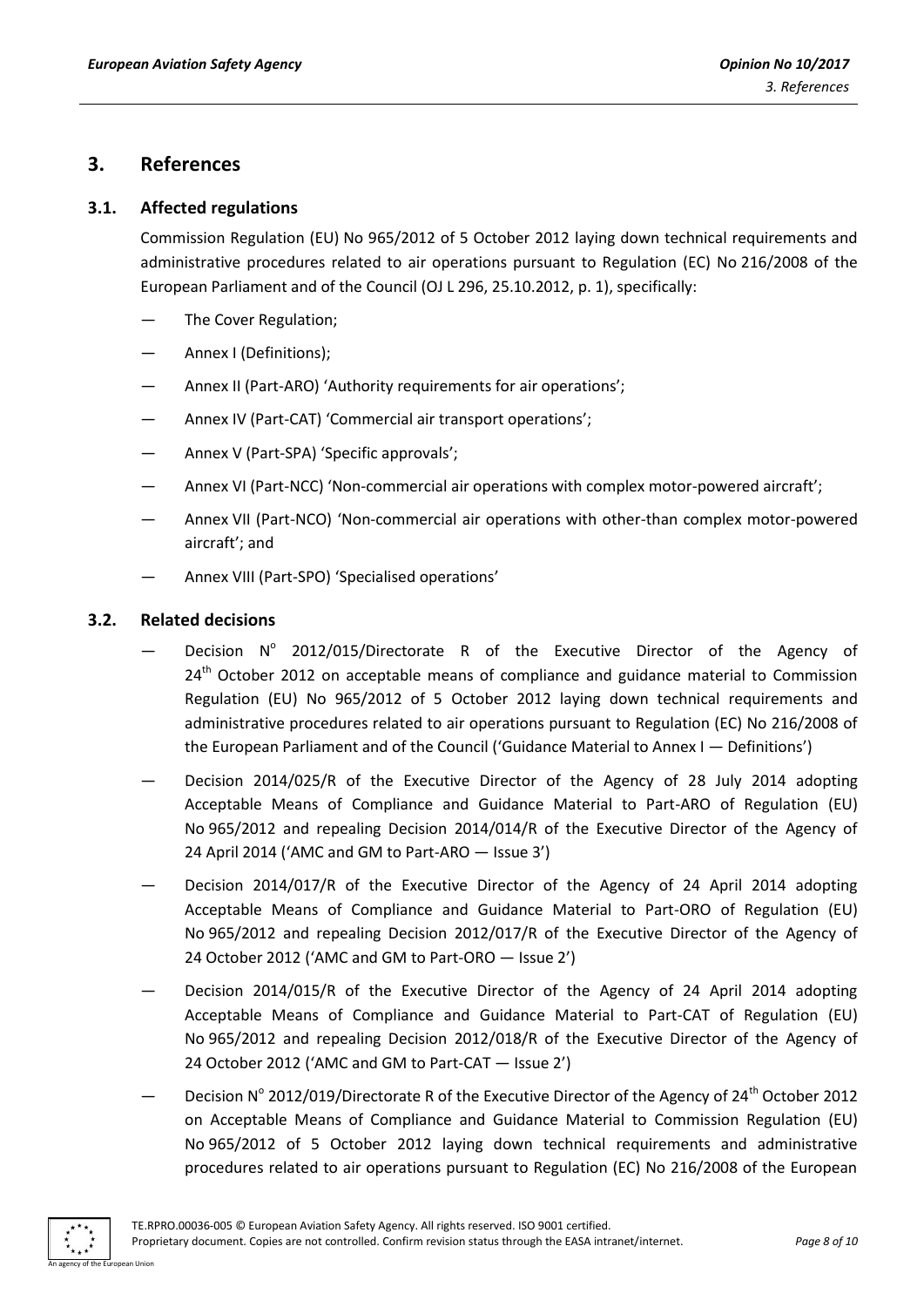## <span id="page-7-0"></span>**3. References**

## <span id="page-7-1"></span>**3.1. Affected regulations**

Commission Regulation (EU) No 965/2012 of 5 October 2012 laying down technical requirements and administrative procedures related to air operations pursuant to Regulation (EC) No 216/2008 of the European Parliament and of the Council (OJ L 296, 25.10.2012, p. 1), specifically:

- The Cover Regulation;
- Annex I (Definitions);
- Annex II (Part-ARO) 'Authority requirements for air operations';
- Annex IV (Part-CAT) 'Commercial air transport operations';
- Annex V (Part-SPA) 'Specific approvals';
- Annex VI (Part-NCC) 'Non-commercial air operations with complex motor-powered aircraft';
- Annex VII (Part-NCO) 'Non-commercial air operations with other-than complex motor-powered aircraft'; and
- Annex VIII (Part-SPO) 'Specialised operations'

## <span id="page-7-2"></span>**3.2. Related decisions**

- Decision Nº 2012/015/Directorate R of the Executive Director of the Agency of  $24<sup>th</sup>$  October 2012 on acceptable means of compliance and guidance material to Commission Regulation (EU) No 965/2012 of 5 October 2012 laying down technical requirements and administrative procedures related to air operations pursuant to Regulation (EC) No 216/2008 of the European Parliament and of the Council ('Guidance Material to Annex I — Definitions')
- Decision 2014/025/R of the Executive Director of the Agency of 28 July 2014 adopting Acceptable Means of Compliance and Guidance Material to Part-ARO of Regulation (EU) No 965/2012 and repealing Decision 2014/014/R of the Executive Director of the Agency of 24 April 2014 ('AMC and GM to Part-ARO — Issue 3')
- Decision 2014/017/R of the Executive Director of the Agency of 24 April 2014 adopting Acceptable Means of Compliance and Guidance Material to Part-ORO of Regulation (EU) No 965/2012 and repealing Decision 2012/017/R of the Executive Director of the Agency of 24 October 2012 ('AMC and GM to Part-ORO — Issue 2')
- Decision 2014/015/R of the Executive Director of the Agency of 24 April 2014 adopting Acceptable Means of Compliance and Guidance Material to Part-CAT of Regulation (EU) No 965/2012 and repealing Decision 2012/018/R of the Executive Director of the Agency of 24 October 2012 ('AMC and GM to Part-CAT — Issue 2')
- $-$  Decision N° 2012/019/Directorate R of the Executive Director of the Agency of 24<sup>th</sup> October 2012 on Acceptable Means of Compliance and Guidance Material to Commission Regulation (EU) No 965/2012 of 5 October 2012 laying down technical requirements and administrative procedures related to air operations pursuant to Regulation (EC) No 216/2008 of the European

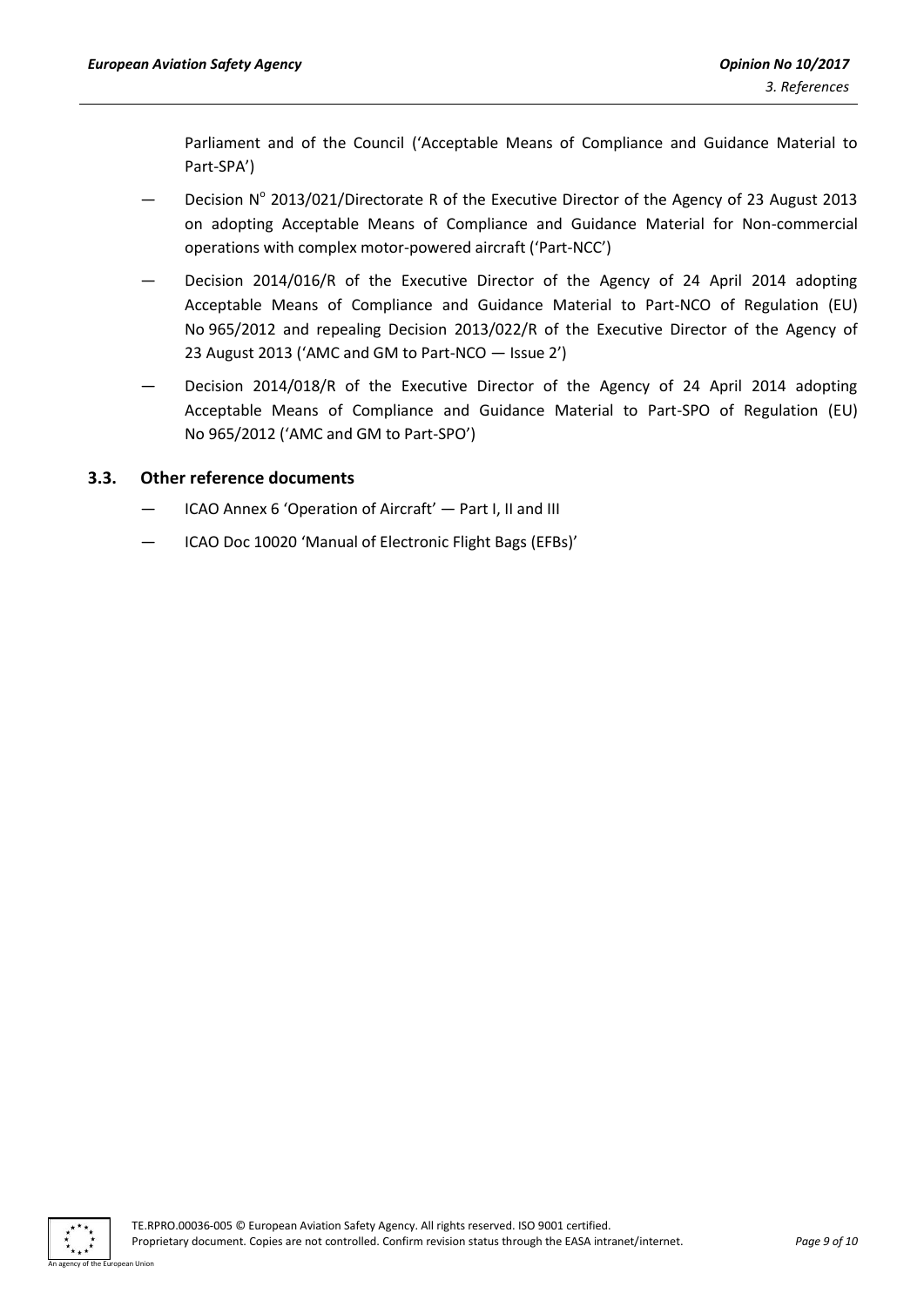Parliament and of the Council ('Acceptable Means of Compliance and Guidance Material to Part-SPA')

- Decision Nº 2013/021/Directorate R of the Executive Director of the Agency of 23 August 2013 on adopting Acceptable Means of Compliance and Guidance Material for Non-commercial operations with complex motor-powered aircraft ('Part-NCC')
- Decision 2014/016/R of the Executive Director of the Agency of 24 April 2014 adopting Acceptable Means of Compliance and Guidance Material to Part-NCO of Regulation (EU) No 965/2012 and repealing Decision 2013/022/R of the Executive Director of the Agency of 23 August 2013 ('AMC and GM to Part-NCO — Issue 2')
- Decision 2014/018/R of the Executive Director of the Agency of 24 April 2014 adopting Acceptable Means of Compliance and Guidance Material to Part-SPO of Regulation (EU) No 965/2012 ('AMC and GM to Part-SPO')

## <span id="page-8-0"></span>**3.3. Other reference documents**

- ICAO Annex 6 'Operation of Aircraft' Part I, II and III
- ICAO Doc 10020 'Manual of Electronic Flight Bags (EFBs)'